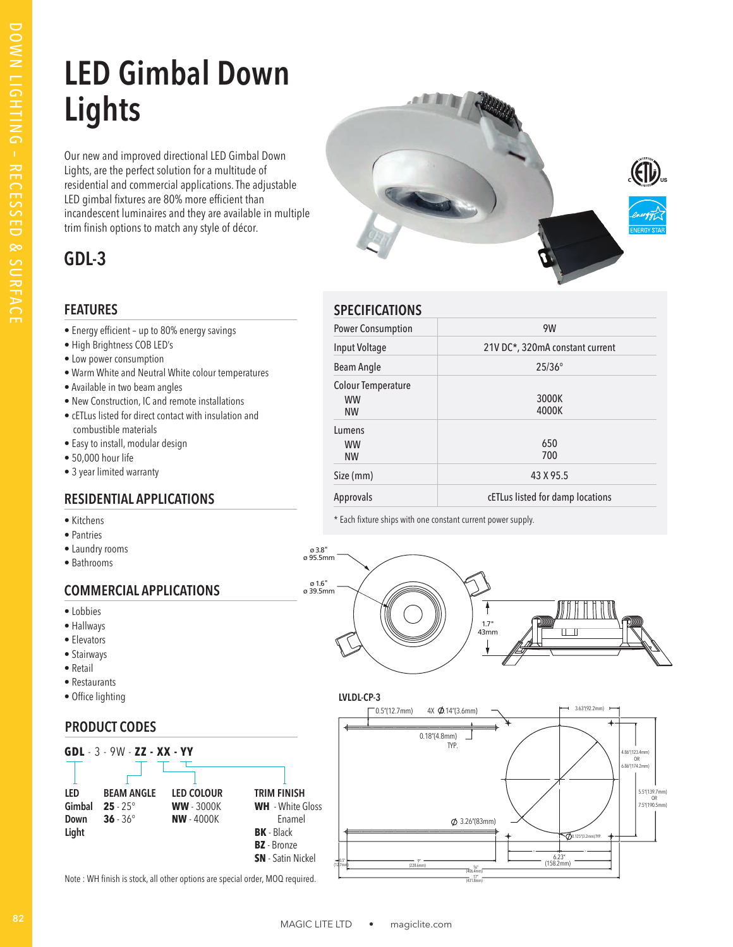# **LED Gimbal Down Lights**

Our new and improved directional LED Gimbal Down Lights, are the perfect solution for a multitude of residential and commercial applications. The adjustable LED gimbal fixtures are 80% more efficient than incandescent luminaires and they are available in multiple trim finish options to match any style of décor.

### **GDL-3**

### **FEATURES**

- Energy efficient up to 80% energy savings
- High Brightness COB LED's
- Low power consumption
- Warm White and Neutral White colour temperatures
- Available in two beam angles
- New Construction, IC and remote installations
- cETLus listed for direct contact with insulation and combustible materials
- Easy to install, modular design
- 50,000 hour life
- 3 year limited warranty

### **RESIDENTIAL APPLICATIONS**

- Kitchens
- Pantries
- Laundry rooms
- Bathrooms

### **COMMERCIAL APPLICATIONS**

- Lobbies
- Hallways
- Elevators
- Stairways
- Retail
- Restaurants
- Office lighting

### **PRODUCT CODES**



ø 1.6"

Note : WH finish is stock, all other options are special order, MOQ required.



| <b>SPECIFICATIONS</b>                               |                                  |
|-----------------------------------------------------|----------------------------------|
| <b>Power Consumption</b>                            | 9W                               |
| Input Voltage                                       | 21V DC*, 320mA constant current  |
| Beam Angle                                          | $25/36^{\circ}$                  |
| <b>Colour Temperature</b><br><b>WW</b><br><b>NW</b> | 3000K<br>4000K                   |
| Lumens<br><b>WW</b><br><b>NW</b>                    | 650<br>700                       |
| Size (mm)                                           | 43 X 95.5                        |
| Approvals                                           | cETLus listed for damp locations |

\* Each fixture ships with one constant current power supply.